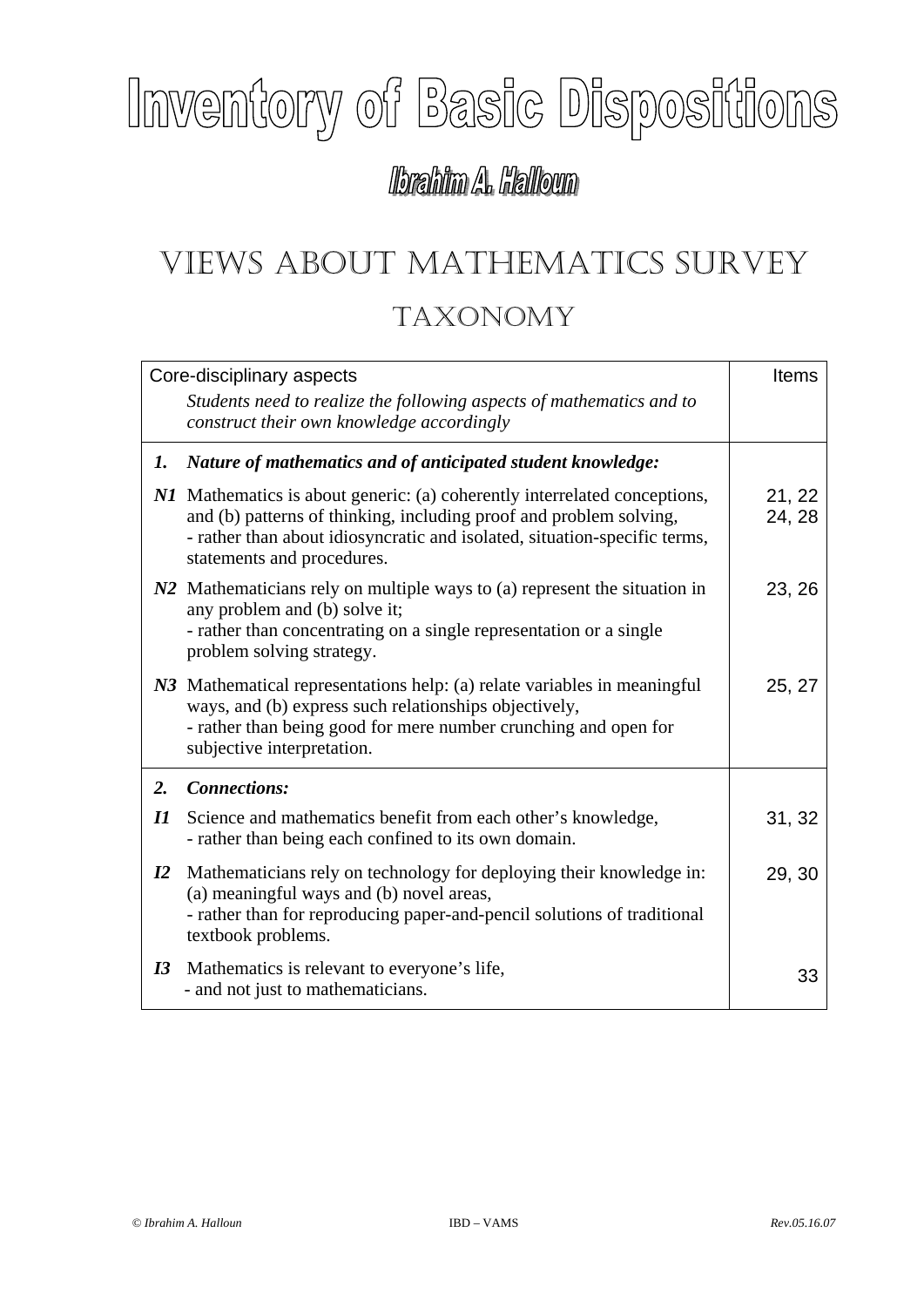## Inventory of Basic Dispositions

## lbrahim A. Halloun

## VIEWS ABOUT MATHEMATICS SURVEY TAXONOMY

|                            | Core-disciplinary aspects                                                                                                                                                                                                                                  | Items            |
|----------------------------|------------------------------------------------------------------------------------------------------------------------------------------------------------------------------------------------------------------------------------------------------------|------------------|
|                            | Students need to realize the following aspects of mathematics and to<br>construct their own knowledge accordingly                                                                                                                                          |                  |
| 1.                         | Nature of mathematics and of anticipated student knowledge:                                                                                                                                                                                                |                  |
|                            | N1 Mathematics is about generic: (a) coherently interrelated conceptions,<br>and (b) patterns of thinking, including proof and problem solving,<br>- rather than about idiosyncratic and isolated, situation-specific terms,<br>statements and procedures. | 21, 22<br>24, 28 |
|                            | N2 Mathematicians rely on multiple ways to (a) represent the situation in<br>any problem and (b) solve it;<br>- rather than concentrating on a single representation or a single<br>problem solving strategy.                                              | 23, 26           |
|                            | N3 Mathematical representations help: (a) relate variables in meaningful<br>ways, and (b) express such relationships objectively,<br>- rather than being good for mere number crunching and open for<br>subjective interpretation.                         | 25, 27           |
| 2.                         | <b>Connections:</b>                                                                                                                                                                                                                                        |                  |
| $\boldsymbol{\mathit{II}}$ | Science and mathematics benefit from each other's knowledge,<br>- rather than being each confined to its own domain.                                                                                                                                       | 31, 32           |
| $\mathbf{I2}$              | Mathematicians rely on technology for deploying their knowledge in:<br>(a) meaningful ways and (b) novel areas,<br>- rather than for reproducing paper-and-pencil solutions of traditional<br>textbook problems.                                           | 29, 30           |
| I3                         | Mathematics is relevant to everyone's life,<br>- and not just to mathematicians.                                                                                                                                                                           | 33               |